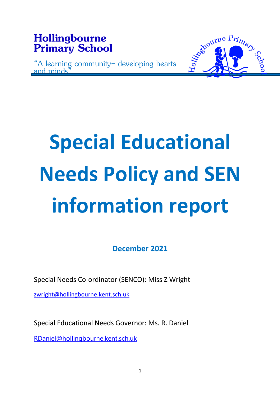

# **Special Educational Needs Policy and SEN information report**

**December 2021**

Special Needs Co-ordinator (SENCO): Miss Z Wright

zwright@hollingbourne.kent.sch.uk

Special Educational Needs Governor: Ms. R. Daniel

RDaniel@hollingbourne.kent.sch.uk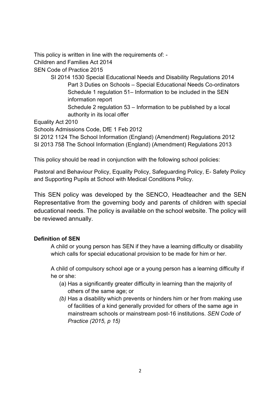This policy is written in line with the requirements of: -

Children and Families Act 2014

SEN Code of Practice 2015

- SI 2014 1530 Special Educational Needs and Disability Regulations 2014 Part 3 Duties on Schools – Special Educational Needs Co-ordinators Schedule 1 regulation 51– Information to be included in the SEN information report
	- Schedule 2 regulation 53 Information to be published by a local authority in its local offer

Equality Act 2010

Schools Admissions Code, DfE 1 Feb 2012

SI 2012 1124 The School Information (England) (Amendment) Regulations 2012

SI 2013 758 The School Information (England) (Amendment) Regulations 2013

This policy should be read in conjunction with the following school policies:

Pastoral and Behaviour Policy, Equality Policy, Safeguarding Policy, E- Safety Policy and Supporting Pupils at School with Medical Conditions Policy.

This SEN policy was developed by the SENCO, Headteacher and the SEN Representative from the governing body and parents of children with special educational needs. The policy is available on the school website. The policy will be reviewed annually.

## **Definition of SEN**

A child or young person has SEN if they have a learning difficulty or disability which calls for special educational provision to be made for him or her.

A child of compulsory school age or a young person has a learning difficulty if he or she:

- (a) Has a significantly greater difficulty in learning than the majority of others of the same age; or
- *(b)* Has a disability which prevents or hinders him or her from making use of facilities of a kind generally provided for others of the same age in mainstream schools or mainstream post-16 institutions. *SEN Code of Practice (2015, p 15)*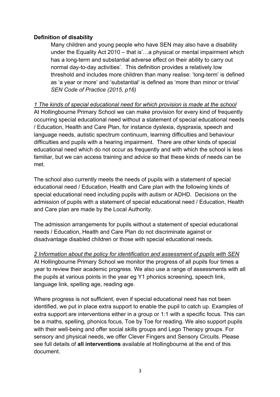#### **Definition of disability**

Many children and young people who have SEN may also have a disability under the Equality Act 2010 – that is'…a physical or mental impairment which has a long-term and substantial adverse effect on their ability to carry out normal day-to-day activities'. This definition provides a relatively low threshold and includes more children than many realise: 'long-term' is defined as 'a year or more' and 'substantial' is defined as 'more than minor or trivial' *SEN Code of Practice (2015, p16)*

#### *1 The kinds of special educational need for which provision is made at the school*

At Hollingbourne Primary School we can make provision for every kind of frequently occurring special educational need without a statement of special educational needs / Education, Health and Care Plan, for instance dyslexia, dyspraxia, speech and language needs, autistic spectrum continuum, learning difficulties and behaviour difficulties and pupils with a hearing impairment. There are other kinds of special educational need which do not occur as frequently and with which the school is less familiar, but we can access training and advice so that these kinds of needs can be met.

The school also currently meets the needs of pupils with a statement of special educational need / Education, Health and Care plan with the following kinds of special educational need including pupils with autism or ADHD. Decisions on the admission of pupils with a statement of special educational need / Education, Health and Care plan are made by the Local Authority.

The admission arrangements for pupils without a statement of special educational needs / Education, Health and Care Plan do not discriminate against or disadvantage disabled children or those with special educational needs.

## *2 Information about the policy for identification and assessment of pupils with SEN*

At Hollingbourne Primary School we monitor the progress of all pupils four times a year to review their academic progress. We also use a range of assessments with all the pupils at various points in the year eg Y1 phonics screening, speech link, language link, spelling age, reading age.

Where progress is not sufficient, even if special educational need has not been identified, we put in place extra support to enable the pupil to catch up. Examples of extra support are interventions either in a group or 1:1 with a specific focus. This can be a maths, spelling, phonics focus, Toe by Toe for reading. We also support pupils with their well-being and offer social skills groups and Lego Therapy groups. For sensory and physical needs, we offer Clever Fingers and Sensory Circuits. Please see full details of **all interventions** available at Hollingbourne at the end of this document.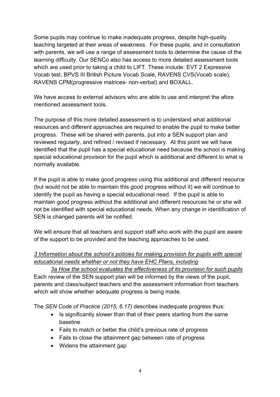Some pupils may continue to make inadequate progress, despite high-quality teaching targeted at their areas of weakness. For these pupils, and in consultation with parents, we will use a range of assessment tools to determine the cause of the learning difficulty. Our SENCo also has access to more detailed assessment tools which are used prior to taking a child to LIFT. These include: EVT 2 Expressive Vocab test, BPVS III British Picture Vocab Scale, RAVENS CVS(Vocab scale), RAVENS CPM(progressive matrices- non-verbal) and BOXALL.

We have access to external advisors who are able to use and interpret the afore mentioned assessment tools.

The purpose of this more detailed assessment is to understand what additional resources and different approaches are required to enable the pupil to make better progress. These will be shared with parents, put into a SEN support plan and reviewed regularly, and refined / revised if necessary. At this point we will have identified that the pupil has a special educational need because the school is making special educational provision for the pupil which is additional and different to what is normally available.

If the pupil is able to make good progress using this additional and different resource (but would not be able to maintain this good progress without it) we will continue to identify the pupil as having a special educational need. If the pupil is able to maintain good progress without the additional and different resources he or she will not be identified with special educational needs. When any change in identification of SEN is changed parents will be notified.

We will ensure that all teachers and support staff who work with the pupil are aware of the support to be provided and the teaching approaches to be used.

# *3 Information about the school's policies for making provision for pupils with special educational needs whether or not they have EHC Plans, including*

*3a How the school evaluates the effectiveness of its provision for such pupils* Each review of the SEN support plan will be informed by the views of the pupil, parents and class/subject teachers and the assessment information from teachers which will show whether adequate progress is being made.

The *SEN Code of Practice (2015, 6.17)* describes inadequate progress thus:

- Is significantly slower than that of their peers starting from the same baseline
- Fails to match or better the child's previous rate of progress
- Fails to close the attainment gap between rate of progress
- Widens the attainment gap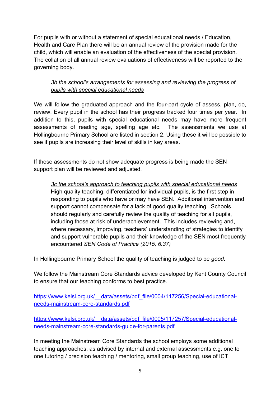For pupils with or without a statement of special educational needs / Education, Health and Care Plan there will be an annual review of the provision made for the child, which will enable an evaluation of the effectiveness of the special provision. The collation of all annual review evaluations of effectiveness will be reported to the governing body.

## *3b the school's arrangements for assessing and reviewing the progress of pupils with special educational needs*

We will follow the graduated approach and the four-part cycle of assess, plan, do, review. Every pupil in the school has their progress tracked four times per year. In addition to this, pupils with special educational needs may have more frequent assessments of reading age, spelling age etc. The assessments we use at Hollingbourne Primary School are listed in section 2. Using these it will be possible to see if pupils are increasing their level of skills in key areas.

If these assessments do not show adequate progress is being made the SEN support plan will be reviewed and adjusted.

*3c the school's approach to teaching pupils with special educational needs* High quality teaching, differentiated for individual pupils, is the first step in responding to pupils who have or may have SEN. Additional intervention and support cannot compensate for a lack of good quality teaching. Schools should regularly and carefully review the quality of teaching for all pupils, including those at risk of underachievement. This includes reviewing and, where necessary, improving, teachers' understanding of strategies to identify and support vulnerable pupils and their knowledge of the SEN most frequently encountered *SEN Code of Practice (2015, 6.37)*

In Hollingbourne Primary School the quality of teaching is judged to be *good*.

We follow the Mainstream Core Standards advice developed by Kent County Council to ensure that our teaching conforms to best practice.

https://www.kelsi.org.uk/ data/assets/pdf file/0004/117256/Special-educationalneeds-mainstream-core-standards.pdf

https://www.kelsi.org.uk/ data/assets/pdf file/0005/117257/Special-educationalneeds-mainstream-core-standards-guide-for-parents.pdf

In meeting the Mainstream Core Standards the school employs some additional teaching approaches, as advised by internal and external assessments e.g. one to one tutoring / precision teaching / mentoring, small group teaching, use of ICT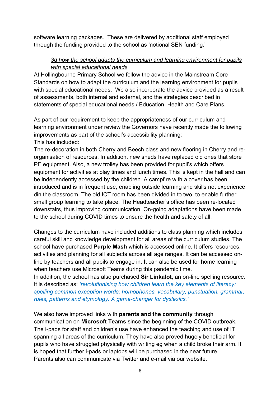software learning packages. These are delivered by additional staff employed through the funding provided to the school as 'notional SEN funding.'

## *3d how the school adapts the curriculum and learning environment for pupils with special educational needs*

At Hollingbourne Primary School we follow the advice in the Mainstream Core Standards on how to adapt the curriculum and the learning environment for pupils with special educational needs. We also incorporate the advice provided as a result of assessments, both internal and external, and the strategies described in statements of special educational needs / Education, Health and Care Plans.

As part of our requirement to keep the appropriateness of our curriculum and learning environment under review the Governors have recently made the following improvements as part of the school's accessibility planning: This has included:

The re-decoration in both Cherry and Beech class and new flooring in Cherry and reorganisation of resources. In addition, new sheds have replaced old ones that store PE equipment. Also, a new trolley has been provided for pupil's which offers equipment for activities at play times and lunch times. This is kept in the hall and can be independently accessed by the children. A campfire with a cover has been introduced and is in frequent use, enabling outside learning and skills not experience din the classroom. The old ICT room has been divided in to two, to enable further small group learning to take place, The Headteacher's office has been re-located downstairs, thus improving communication. On-going adaptations have been made to the school during COVID times to ensure the health and safety of all.

Changes to the curriculum have included additions to class planning which includes careful skill and knowledge development for all areas of the curriculum studies. The school have purchased **Purple Mash** which is accessed online. It offers resources, activities and planning for all subjects across all age ranges. It can be accessed online by teachers and all pupils to engage in. It can also be used for home learning when teachers use Microsoft Teams during this pandemic time.

In addition, the school has also purchased **Sir Linkalot,** an on-line spelling resource. It is described as: *'revolutionising how children learn the key elements of literacy: spelling common exception words; homophones, vocabulary, punctuation, grammar, rules, patterns and etymology. A game-changer for dyslexics.'*

We also have improved links with **parents and the community** through communication on **Microsoft Teams** since the beginning of the COVID outbreak. The i-pads for staff and children's use have enhanced the teaching and use of IT spanning all areas of the curriculum. They have also proved hugely beneficial for pupils who have struggled physically with writing eg when a child broke their arm. It is hoped that further i-pads or laptops will be purchased in the near future. Parents also can communicate via Twitter and e-mail via our website.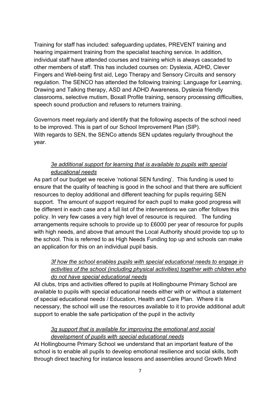Training for staff has included: safeguarding updates, PREVENT training and hearing impairment training from the specialist teaching service. In addition, individual staff have attended courses and training which is always cascaded to other members of staff. This has included courses on: Dyslexia, ADHD, Clever Fingers and Well-being first aid, Lego Therapy and Sensory Circuits and sensory regulation. The SENCO has attended the following training: Language for Learning, Drawing and Talking therapy, ASD and ADHD Awareness, Dyslexia friendly classrooms, selective mutism, Boxall Profile training, sensory processing difficulties, speech sound production and refusers to returners training.

Governors meet regularly and identify that the following aspects of the school need to be improved. This is part of our School Improvement Plan (SIP). With regards to SEN, the SENCo attends SEN updates regularly throughout the year.

#### *3e additional support for learning that is available to pupils with special educational needs*

As part of our budget we receive 'notional SEN funding'. This funding is used to ensure that the quality of teaching is good in the school and that there are sufficient resources to deploy additional and different teaching for pupils requiring SEN support. The amount of support required for each pupil to make good progress will be different in each case and a full list of the interventions we can offer follows this policy. In very few cases a very high level of resource is required. The funding arrangements require schools to provide up to £6000 per year of resource for pupils with high needs, and above that amount the Local Authority should provide top up to the school. This is referred to as High Needs Funding top up and schools can make an application for this on an individual pupil basis.

## *3f how the school enables pupils with special educational needs to engage in activities of the school (including physical activities) together with children who do not have special educational needs*

All clubs, trips and activities offered to pupils at Hollingbourne Primary School are available to pupils with special educational needs either with or without a statement of special educational needs / Education, Health and Care Plan. Where it is necessary, the school will use the resources available to it to provide additional adult support to enable the safe participation of the pupil in the activity

## *3g support that is available for improving the emotional and social development of pupils with special educational needs*

At Hollingbourne Primary School we understand that an important feature of the school is to enable all pupils to develop emotional resilience and social skills, both through direct teaching for instance lessons and assemblies around Growth Mind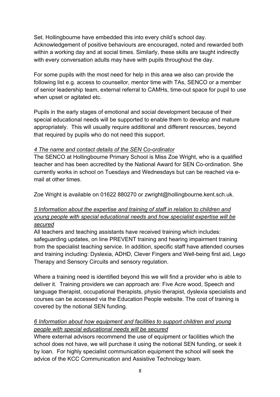Set. Hollingbourne have embedded this into every child's school day. Acknowledgement of positive behaviours are encouraged, noted and rewarded both within a working day and at social times. Similarly, these skills are taught indirectly with every conversation adults may have with pupils throughout the day.

For some pupils with the most need for help in this area we also can provide the following list e.g. access to counsellor, mentor time with TAs, SENCO or a member of senior leadership team, external referral to CAMHs, time-out space for pupil to use when upset or agitated etc.

Pupils in the early stages of emotional and social development because of their special educational needs will be supported to enable them to develop and mature appropriately. This will usually require additional and different resources, beyond that required by pupils who do not need this support.

#### *4 The name and contact details of the SEN Co-ordinator*

The SENCO at Hollingbourne Primary School is Miss Zoe Wright, who is a qualified teacher and has been accredited by the National Award for SEN Co-ordination. She currently works in school on Tuesdays and Wednesdays but can be reached via email at other times.

Zoe Wright is available on 01622 880270 or zwright@hollingbourne.kent.sch.uk.

## *5 Information about the expertise and training of staff in relation to children and young people with special educational needs and how specialist expertise will be secured*

All teachers and teaching assistants have received training which includes: safeguarding updates, on line PREVENT training and hearing impairment training from the specialist teaching service. In addition, specific staff have attended courses and training including: Dyslexia, ADHD, Clever Fingers and Well-being first aid, Lego Therapy and Sensory Circuits and sensory regulation.

Where a training need is identified beyond this we will find a provider who is able to deliver it. Training providers we can approach are: Five Acre wood, Speech and language therapist, occupational therapists, physio therapist, dyslexia specialists and courses can be accessed via the Education People website. The cost of training is covered by the notional SEN funding.

## *6 Information about how equipment and facilities to support children and young people with special educational needs will be secured*

Where external advisors recommend the use of equipment or facilities which the school does not have, we will purchase it using the notional SEN funding, or seek it by loan. For highly specialist communication equipment the school will seek the advice of the KCC Communication and Assistive Technology team.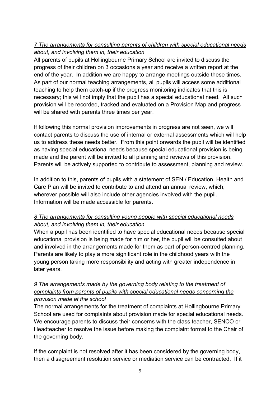# *7 The arrangements for consulting parents of children with special educational needs about, and involving them in, their education*

All parents of pupils at Hollingbourne Primary School are invited to discuss the progress of their children on 3 occasions a year and receive a written report at the end of the year. In addition we are happy to arrange meetings outside these times. As part of our normal teaching arrangements, all pupils will access some additional teaching to help them catch-up if the progress monitoring indicates that this is necessary; this will not imply that the pupil has a special educational need. All such provision will be recorded, tracked and evaluated on a Provision Map and progress will be shared with parents three times per year.

If following this normal provision improvements in progress are not seen, we will contact parents to discuss the use of internal or external assessments which will help us to address these needs better. From this point onwards the pupil will be identified as having special educational needs because special educational provision is being made and the parent will be invited to all planning and reviews of this provision. Parents will be actively supported to contribute to assessment, planning and review.

In addition to this, parents of pupils with a statement of SEN / Education, Health and Care Plan will be invited to contribute to and attend an annual review, which, wherever possible will also include other agencies involved with the pupil. Information will be made accessible for parents.

## *8 The arrangements for consulting young people with special educational needs about, and involving them in, their education*

When a pupil has been identified to have special educational needs because special educational provision is being made for him or her, the pupil will be consulted about and involved in the arrangements made for them as part of person-centred planning. Parents are likely to play a more significant role in the childhood years with the young person taking more responsibility and acting with greater independence in later years.

### *9 The arrangements made by the governing body relating to the treatment of complaints from parents of pupils with special educational needs concerning the provision made at the school*

The normal arrangements for the treatment of complaints at Hollingbourne Primary School are used for complaints about provision made for special educational needs. We encourage parents to discuss their concerns with the class teacher, SENCO or Headteacher to resolve the issue before making the complaint formal to the Chair of the governing body.

If the complaint is not resolved after it has been considered by the governing body, then a disagreement resolution service or mediation service can be contracted. If it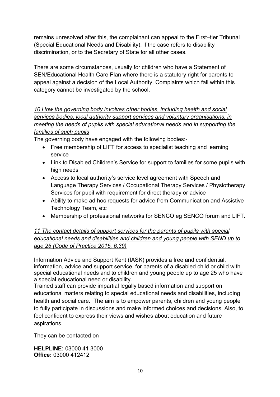remains unresolved after this, the complainant can appeal to the First–tier Tribunal (Special Educational Needs and Disability), if the case refers to disability discrimination, or to the Secretary of State for all other cases.

There are some circumstances, usually for children who have a Statement of SEN/Educational Health Care Plan where there is a statutory right for parents to appeal against a decision of the Local Authority. Complaints which fall within this category cannot be investigated by the school.

*10 How the governing body involves other bodies, including health and social services bodies, local authority support services and voluntary organisations, in meeting the needs of pupils with special educational needs and in supporting the families of such pupils*

The governing body have engaged with the following bodies:-

- Free membership of LIFT for access to specialist teaching and learning service
- Link to Disabled Children's Service for support to families for some pupils with high needs
- Access to local authority's service level agreement with Speech and Language Therapy Services / Occupational Therapy Services / Physiotherapy Services for pupil with requirement for direct therapy or advice
- Ability to make ad hoc requests for advice from Communication and Assistive Technology Team, etc
- Membership of professional networks for SENCO eg SENCO forum and LIFT.

*11 The contact details of support services for the parents of pupils with special educational needs and disabilities and children and young people with SEND up to age 25 (Code of Practice 2015, 6.39)*

Information Advice and Support Kent (IASK) provides a free and confidential, information, advice and support service, for parents of a disabled child or child with special educational needs and to children and young people up to age 25 who have a special educational need or disability.

Trained staff can provide impartial legally based information and support on educational matters relating to special educational needs and disabilities, including health and social care. The aim is to empower parents, children and young people to fully participate in discussions and make informed choices and decisions. Also, to feel confident to express their views and wishes about education and future aspirations.

They can be contacted on

**HELPLINE:** 03000 41 3000 **Office:** 03000 412412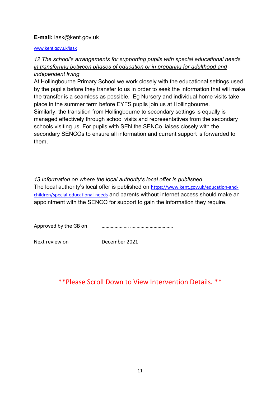#### **E-mail:** iask@kent.gov.uk

#### www.kent.gov.uk/iask

## *12 The school's arrangements for supporting pupils with special educational needs in transferring between phases of education or in preparing for adulthood and independent living*

At Hollingbourne Primary School we work closely with the educational settings used by the pupils before they transfer to us in order to seek the information that will make the transfer is a seamless as possible. Eg Nursery and individual home visits take place in the summer term before EYFS pupils join us at Hollingbourne. Similarly, the transition from Hollingbourne to secondary settings is equally is managed effectively through school visits and representatives from the secondary schools visiting us. For pupils with SEN the SENCo liaises closely with the secondary SENCOs to ensure all information and current support is forwarded to them.

#### *13 Information on where the local authority's local offer is published.*

The local authority's local offer is published on https://www.kent.gov.uk/education-andchildren/special-educational-needs and parents without internet access should make an appointment with the SENCO for support to gain the information they require.

| Approved by the GB on |  |
|-----------------------|--|
|                       |  |

Next review on December 2021

# \*\*Please Scroll Down to View Intervention Details. \*\*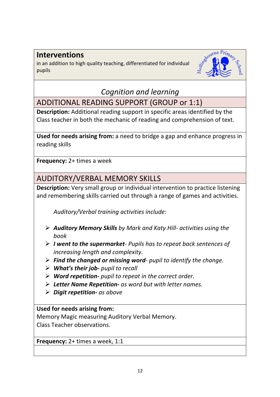# **Interventions**

in an addition to high quality teaching, differentiated for individual pupils



# *Cognition and learning*

ADDITIONAL READING SUPPORT (GROUP or 1:1)

**Description:** Additional reading support in specific areas identified by the Class teacher in both the mechanic of reading and comprehension of text.

**Used for needs arising from:** a need to bridge a gap and enhance progress in reading skills

**Frequency:** 2+ times a week

# AUDITORY/VERBAL MEMORY SKILLS

**Description:** Very small group or individual intervention to practice listening and remembering skills carried out through a range of games and activities.

*Auditory/Verbal training activities include:*

- Ø *Auditory Memory Skills by Mark and Katy Hill- activities using the book*
- Ø *I went to the supermarket- Pupils has to repeat back sentences of increasing length and complexity.*
- Ø *Find the changed or missing word pupil to identify the change.*
- Ø *What's their job- pupil to recall*
- Ø *Word repetition- pupil to repeat in the correct order.*
- Ø *Letter Name Repetition- as word but with letter names.*
- Ø *Digit repetition- as above*

**Used for needs arising from:**

Memory Magic measuring Auditory Verbal Memory. Class Teacher observations.

**Frequency:** 2+ times a week, 1:1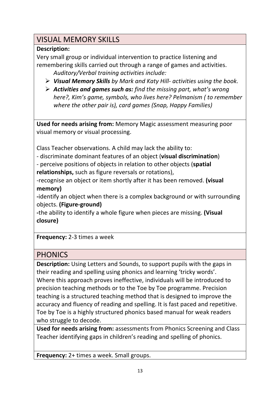# VISUAL MEMORY SKILLS

# **Description:**

Very small group or individual intervention to practice listening and remembering skills carried out through a range of games and activities. *Auditory/Verbal training activities include:*

- Ø *Visual Memory Skills by Mark and Katy Hill- activities using the book.*
- Ø *Activities and games such as: find the missing part, what's wrong here?, Kim's game, symbols, who lives here? Pelmanism ( to remember where the other pair is), card games (Snap, Happy Families)*

**Used for needs arising from:** Memory Magic assessment measuring poor visual memory or visual processing.

Class Teacher observations. A child may lack the ability to:

- discriminate dominant features of an object (**visual discrimination**)

- perceive positions of objects in relation to other objects (**spatial** 

**relationships,** such as figure reversals or rotations),

-recognise an object or item shortly after it has been removed. **(visual memory)**

**-**identify an object when there is a complex background or with surrounding objects. **(Figure-ground)**

**-**the ability to identify a whole figure when pieces are missing. **(Visual closure)**

**Frequency:** 2-3 times a week

# PHONICS

**Description:** Using Letters and Sounds, to support pupils with the gaps in their reading and spelling using phonics and learning 'tricky words'. Where this approach proves ineffective, individuals will be introduced to precision teaching methods or to the Toe by Toe programme. Precision teaching is a structured teaching method that is designed to improve the accuracy and fluency of reading and spelling. It is fast paced and repetitive. Toe by Toe is a highly structured phonics based manual for weak readers who struggle to decode.

**Used for needs arising from:** assessments from Phonics Screening and Class Teacher identifying gaps in children's reading and spelling of phonics.

**Frequency:** 2+ times a week. Small groups.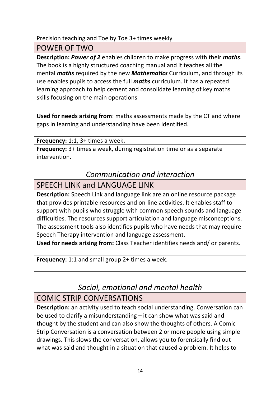Precision teaching and Toe by Toe 3+ times weekly

POWER OF TWO

**Description:** *Power of 2* enables children to make progress with their *maths*. The book is a highly structured coaching manual and it teaches all the mental *maths* required by the new *Mathematics* Curriculum, and through its use enables pupils to access the full *maths* curriculum. It has a repeated learning approach to help cement and consolidate learning of key maths skills focusing on the main operations

**Used for needs arising from**: maths assessments made by the CT and where gaps in learning and understanding have been identified.

**Frequency:** 1:1, 3+ times a week**.**

**Frequency:** 3+ times a week, during registration time or as a separate intervention.

# *Communication and interaction*

# SPEECH LINK and LANGUAGE LINK

**Description:** Speech Link and language link are an online resource package that provides printable resources and on-line activities. It enables staff to support with pupils who struggle with common speech sounds and language difficulties. The resources support articulation and language misconceptions. The assessment tools also identifies pupils who have needs that may require Speech Therapy intervention and language assessment.

**Used for needs arising from:** Class Teacher identifies needs and/ or parents.

**Frequency:** 1:1 and small group 2+ times a week.

*Social, emotional and mental health*

# COMIC STRIP CONVERSATIONS

**Description:** an activity used to teach social understanding. Conversation can be used to clarify a misunderstanding – it can show what was said and thought by the student and can also show the thoughts of others. A Comic Strip Conversation is a conversation between 2 or more people using simple drawings. This slows the conversation, allows you to forensically find out what was said and thought in a situation that caused a problem. It helps to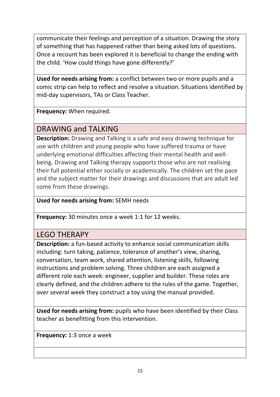communicate their feelings and perception of a situation. Drawing the story of something that has happened rather than being asked lots of questions. Once a recount has been explored it is beneficial to change the ending with the child. 'How could things have gone differently?'

**Used for needs arising from:** a conflict between two or more pupils and a comic strip can help to reflect and resolve a situation. Situations identified by mid-day supervisors, TAs or Class Teacher.

**Frequency:** When required.

# DRAWING and TALKING

**Description:** Drawing and Talking is a safe and easy drawing technique for use with children and young people who have suffered trauma or have underlying emotional difficulties affecting their mental health and wellbeing. Drawing and Talking therapy supports those who are not realising their full potential either socially or academically. The children set the pace and the subject matter for their drawings and discussions that are adult led come from these drawings.

# **Used for needs arising from:** SEMH needs

**Frequency:** 30 minutes once a week 1:1 for 12 weeks.

# LEGO THERAPY

**Description:** a fun-based activity to enhance social communication skills including: turn taking, patience, tolerance of another's view, sharing, conversation, team work, shared attention, listening skills, following instructions and problem solving. Three children are each assigned a different role each week: engineer, supplier and builder. These roles are clearly defined, and the children adhere to the rules of the game. Together, over several week they construct a toy using the manual provided.

**Used for needs arising from:** pupils who have been identified by their Class teacher as benefitting from this intervention.

**Frequency:** 1:3 once a week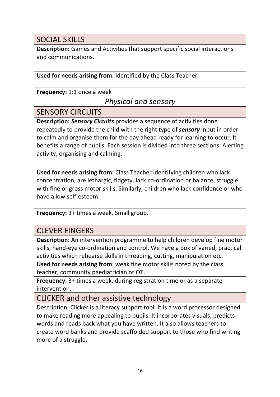# SOCIAL SKILLS

**Description:** Games and Activities that support specific social interactions and communications.

**Used for needs arising from:** Identified by the Class Teacher.

**Frequency:** 1:1 once a week

# *Physical and sensory*

# SENSORY CIRCUITS

**Description:** *Sensory Circuits* provides a sequence of activities done repeatedly to provide the child with the right type of *sensory* input in order to calm and organise them for the day ahead ready for learning to occur. It benefits a range of pupils. Each session is divided into three sections: Alerting activity, organising and calming.

**Used for needs arising from:** Class Teacher identifying children who lack concentration, are lethargic, fidgety, lack co-ordination or balance, struggle with fine or gross motor skills. Similarly, children who lack confidence or who have a low self-esteem.

**Frequency:** 3+ times a week**.** Small group.

# CLEVER FINGERS

**Description**: An intervention programme to help children develop fine motor skills, hand-eye co-ordination and control. We have a box of varied, practical activities which rehearse skills in threading, cutting, manipulation etc.

**Used for needs arising from**: weak fine motor skills noted by the class teacher, community paediatrician or OT.

**Frequency**: 3+ times a week, during registration time or as a separate intervention.

CLICKER and other assistive technology

Description: Clicker is a literacy support tool. It is a word processor designed to make reading more appealing to pupils. It incorporates visuals, predicts words and reads back what you have written. It also allows teachers to create word banks and provide scaffolded support to those who find writing more of a struggle.